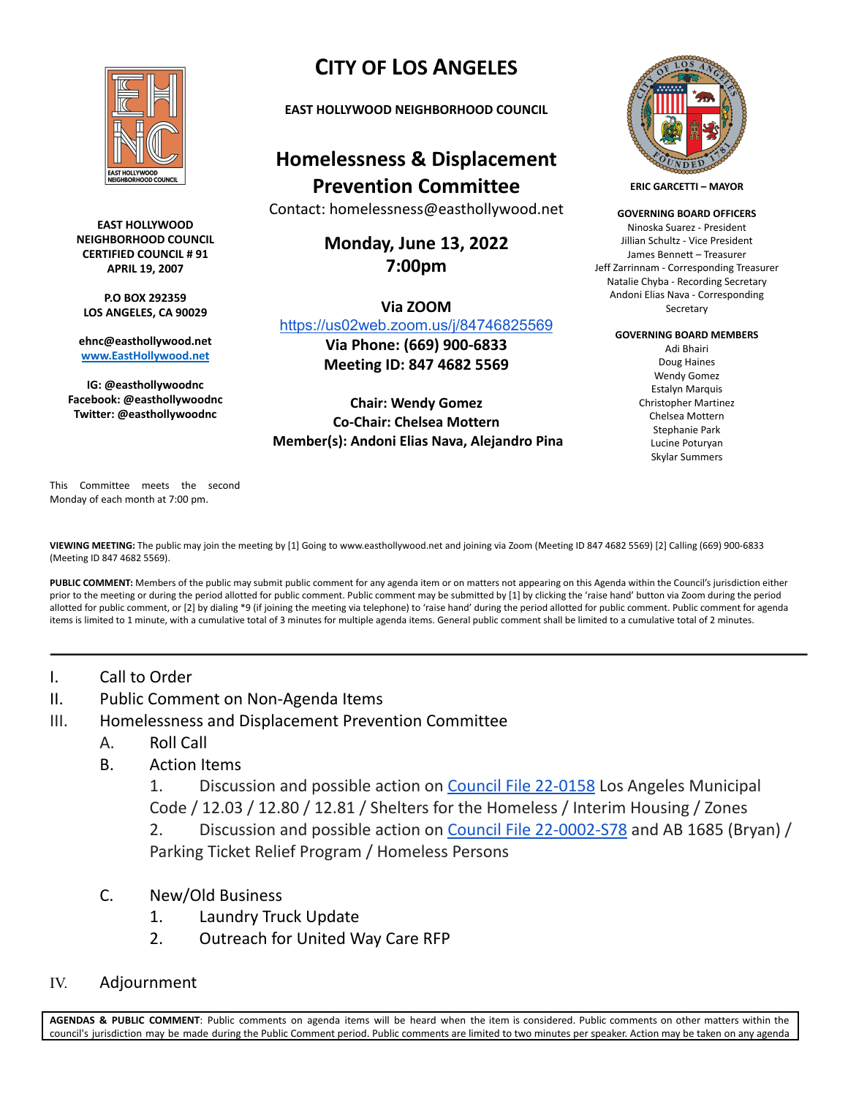

**EAST HOLLYWOOD NEIGHBORHOOD COUNCIL CERTIFIED COUNCIL # 91 APRIL 19, 2007**

**P.O BOX 292359 LOS ANGELES, CA 90029**

**ehnc@easthollywood.net [www.EastHollywood.net](http://www.easthollywood.net)**

**IG: @easthollywoodnc Facebook: @easthollywoodnc Twitter: @easthollywoodnc**

## **CITY OF LOS ANGELES**

**EAST HOLLYWOOD NEIGHBORHOOD COUNCIL**

## **Homelessness & Displacement Prevention Committee**

Contact: homelessness@easthollywood.net

**Monday, June 13, 2022 7:00pm**

**Via ZOOM** <https://us02web.zoom.us/j/84746825569>

**Via Phone: (669) 900-6833 Meeting ID: 847 4682 5569**

## **Chair: Wendy Gomez Co-Chair: Chelsea Mottern Member(s): Andoni Elias Nava, Alejandro Pina**



**ERIC GARCETTI – MAYOR**

**GOVERNING BOARD OFFICERS** Ninoska Suarez - President Jillian Schultz - Vice President James Bennett – Treasurer Jeff Zarrinnam - Corresponding Treasurer Natalie Chyba - Recording Secretary Andoni Elias Nava - Corresponding Secretary

**GOVERNING BOARD MEMBERS**

Adi Bhairi Doug Haines Wendy Gomez Estalyn Marquis Christopher Martinez Chelsea Mottern Stephanie Park Lucine Poturyan Skylar Summers

This Committee meets the second Monday of each month at 7:00 pm.

**VIEWING MEETING:** The public may join the meeting by [1] Going to www.easthollywood.net and joining via Zoom (Meeting ID 847 4682 5569) [2] Calling (669) 900-6833 (Meeting ID 847 4682 5569).

PUBLIC COMMENT: Members of the public may submit public comment for any agenda item or on matters not appearing on this Agenda within the Council's jurisdiction either prior to the meeting or during the period allotted for public comment. Public comment may be submitted by [1] by clicking the 'raise hand' button via Zoom during the period allotted for public comment, or [2] by dialing \*9 (if joining the meeting via telephone) to 'raise hand' during the period allotted for public comment. Public comment for agenda items is limited to 1 minute, with a cumulative total of 3 minutes for multiple agenda items. General public comment shall be limited to a cumulative total of 2 minutes.

- I. Call to Order
- II. Public Comment on Non-Agenda Items
- III. Homelessness and Displacement Prevention Committee
	- A. Roll Call
	- B. Action Items

1. Discussion and possible action on Council File [22-0158](https://cityclerk.lacity.org/lacityclerkconnect/index.cfm?fa=ccfi.viewrecord&cfnumber=22-0158) Los Angeles Municipal Code / 12.03 / 12.80 / 12.81 / Shelters for the Homeless / Interim Housing / Zones

2. Discussion and possible action on Council File [22-0002-S78](https://cityclerk.lacity.org/lacityclerkconnect/index.cfm?fa=ccfi.viewrecord&cfnumber=22-0002-S78) and AB 1685 (Bryan) / Parking Ticket Relief Program / Homeless Persons

- C. New/Old Business
	- 1. Laundry Truck Update
	- 2. Outreach for United Way Care RFP
- IV. Adjournment

**AGENDAS & PUBLIC COMMENT**: Public comments on agenda items will be heard when the item is considered. Public comments on other matters within the council's jurisdiction may be made during the Public Comment period. Public comments are limited to two minutes per speaker. Action may be taken on any agenda